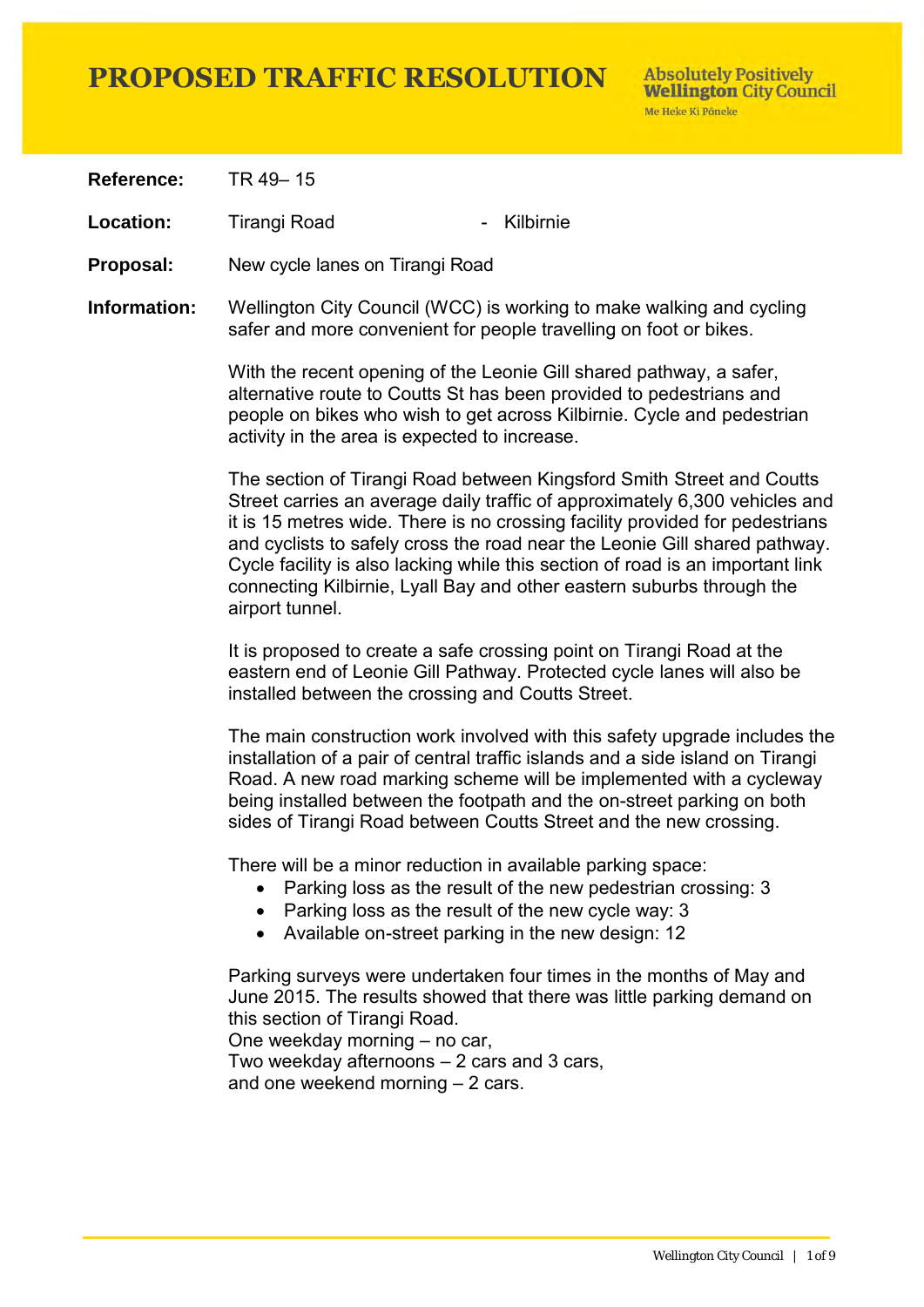**Reference:** TR 49– 15

Location: Tirangi Road The Rilbirnie

**Proposal:** New cycle lanes on Tirangi Road

**Information:** Wellington City Council (WCC) is working to make walking and cycling safer and more convenient for people travelling on foot or bikes.

> With the recent opening of the Leonie Gill shared pathway, a safer, alternative route to Coutts St has been provided to pedestrians and people on bikes who wish to get across Kilbirnie. Cycle and pedestrian activity in the area is expected to increase.

The section of Tirangi Road between Kingsford Smith Street and Coutts Street carries an average daily traffic of approximately 6,300 vehicles and it is 15 metres wide. There is no crossing facility provided for pedestrians and cyclists to safely cross the road near the Leonie Gill shared pathway. Cycle facility is also lacking while this section of road is an important link connecting Kilbirnie, Lyall Bay and other eastern suburbs through the airport tunnel.

It is proposed to create a safe crossing point on Tirangi Road at the eastern end of Leonie Gill Pathway. Protected cycle lanes will also be installed between the crossing and Coutts Street.

The main construction work involved with this safety upgrade includes the installation of a pair of central traffic islands and a side island on Tirangi Road. A new road marking scheme will be implemented with a cycleway being installed between the footpath and the on-street parking on both sides of Tirangi Road between Coutts Street and the new crossing.

There will be a minor reduction in available parking space:

- Parking loss as the result of the new pedestrian crossing: 3
- Parking loss as the result of the new cycle way: 3
- Available on-street parking in the new design: 12

Parking surveys were undertaken four times in the months of May and June 2015. The results showed that there was little parking demand on this section of Tirangi Road.

One weekday morning – no car,

Two weekday afternoons – 2 cars and 3 cars, and one weekend morning – 2 cars.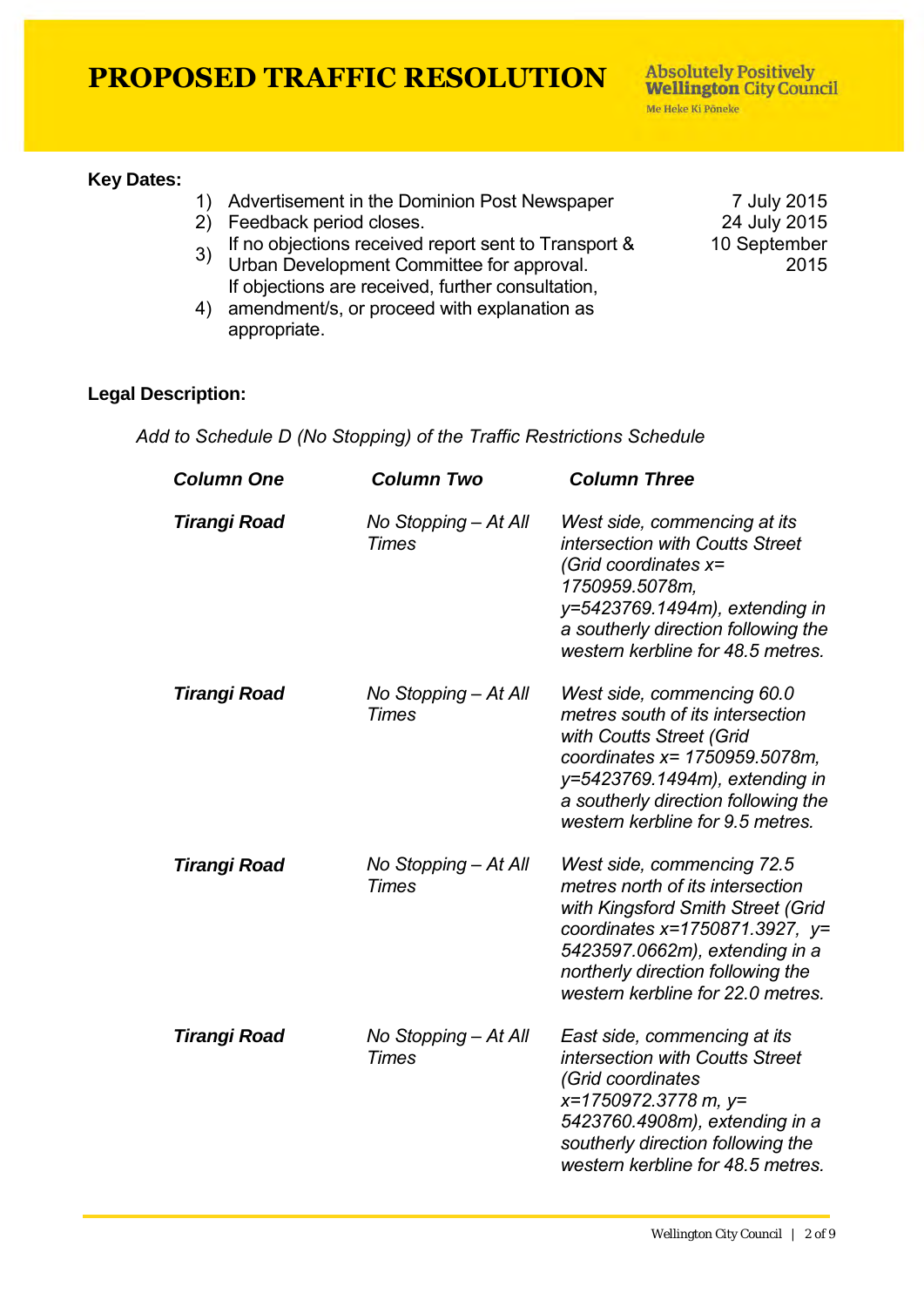#### **Key Dates:**

- 1) Advertisement in the Dominion Post Newspaper 7 July 2015<br>24 July 2015
- 2) Feedback period closes.
- 3) If no objections received report sent to Transport & Urban Development Committee for approval. If objections are received, further consultation,
- 4) amendment/s, or proceed with explanation as appropriate.

10 September 2015

#### **Legal Description:**

*Add to Schedule D (No Stopping) of the Traffic Restrictions Schedule* 

| <b>Column One</b> | <b>Column Two</b>                    | <b>Column Three</b>                                                                                                                                                                                                                                 |
|-------------------|--------------------------------------|-----------------------------------------------------------------------------------------------------------------------------------------------------------------------------------------------------------------------------------------------------|
| Tirangi Road      | No Stopping - At All<br><b>Times</b> | West side, commencing at its<br>intersection with Coutts Street<br>(Grid coordinates $x=$<br>1750959.5078m,<br>y=5423769.1494m), extending in<br>a southerly direction following the<br>western kerbline for 48.5 metres.                           |
| Tirangi Road      | No Stopping - At All<br>Times        | West side, commencing 60.0<br>metres south of its intersection<br>with Coutts Street (Grid<br>coordinates x= 1750959.5078m,<br>y=5423769.1494m), extending in<br>a southerly direction following the<br>western kerbline for 9.5 metres.            |
| Tirangi Road      | No Stopping - At All<br><b>Times</b> | West side, commencing 72.5<br>metres north of its intersection<br>with Kingsford Smith Street (Grid<br>coordinates x=1750871.3927, $y=$<br>5423597.0662m), extending in a<br>northerly direction following the<br>western kerbline for 22.0 metres. |
| Tirangi Road      | No Stopping - At All<br><b>Times</b> | East side, commencing at its<br>intersection with Coutts Street<br>(Grid coordinates<br>x=1750972.3778 m, y=<br>5423760.4908m), extending in a<br>southerly direction following the<br>western kerbline for 48.5 metres.                            |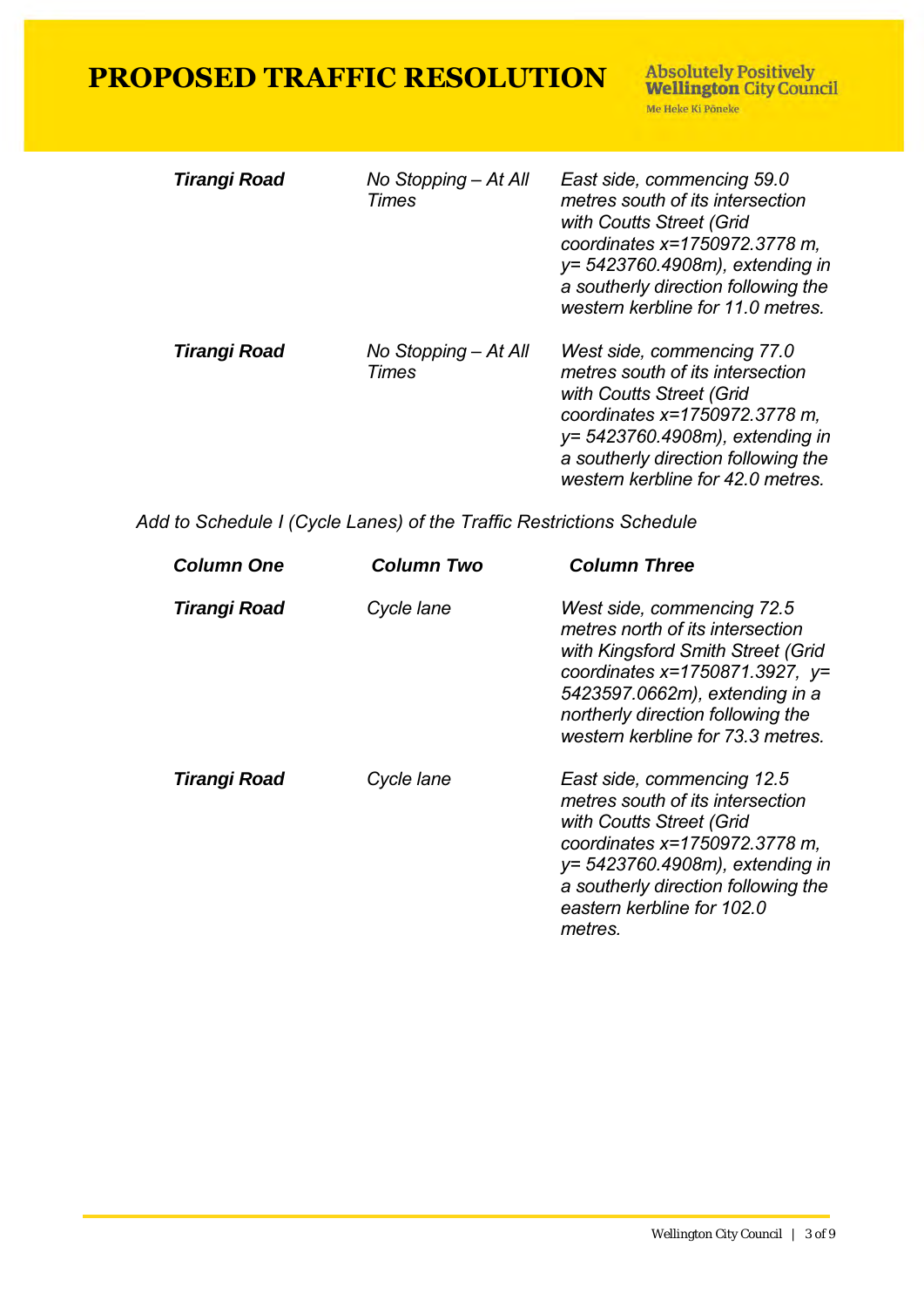**Absolutely Positively<br>Wellington City Council** Me Heke Ki Pôneke

| Tirangi Road | No Stopping – At All<br>Times | East side, commencing 59.0<br>metres south of its intersection<br>with Coutts Street (Grid<br>coordinates x=1750972.3778 m,<br>y= 5423760.4908m), extending in<br>a southerly direction following the<br>western kerbline for 11.0 metres. |
|--------------|-------------------------------|--------------------------------------------------------------------------------------------------------------------------------------------------------------------------------------------------------------------------------------------|
| Tirangi Road | No Stopping – At All<br>Times | West side, commencing 77.0<br>metres south of its intersection<br>with Coutts Street (Grid<br>coordinates x=1750972.3778 m,<br>y= 5423760.4908m), extending in<br>a southerly direction following the<br>western kerbline for 42.0 metres. |

*Add to Schedule I (Cycle Lanes) of the Traffic Restrictions Schedule* 

| <b>Column One</b> | Column Two | <b>Column Three</b>                                                                                                                                                                                                                                    |
|-------------------|------------|--------------------------------------------------------------------------------------------------------------------------------------------------------------------------------------------------------------------------------------------------------|
| Tirangi Road      | Cycle lane | West side, commencing 72.5<br>metres north of its intersection<br>with Kingsford Smith Street (Grid<br>coordinates $x=1750871.3927$ , $y=$<br>5423597.0662m), extending in a<br>northerly direction following the<br>western kerbline for 73.3 metres. |
| Tirangi Road      | Cycle lane | East side, commencing 12.5<br>metres south of its intersection<br>with Coutts Street (Grid<br>coordinates x=1750972.3778 m,<br>y= 5423760.4908m), extending in<br>a southerly direction following the<br>eastern kerbline for 102.0<br>metres.         |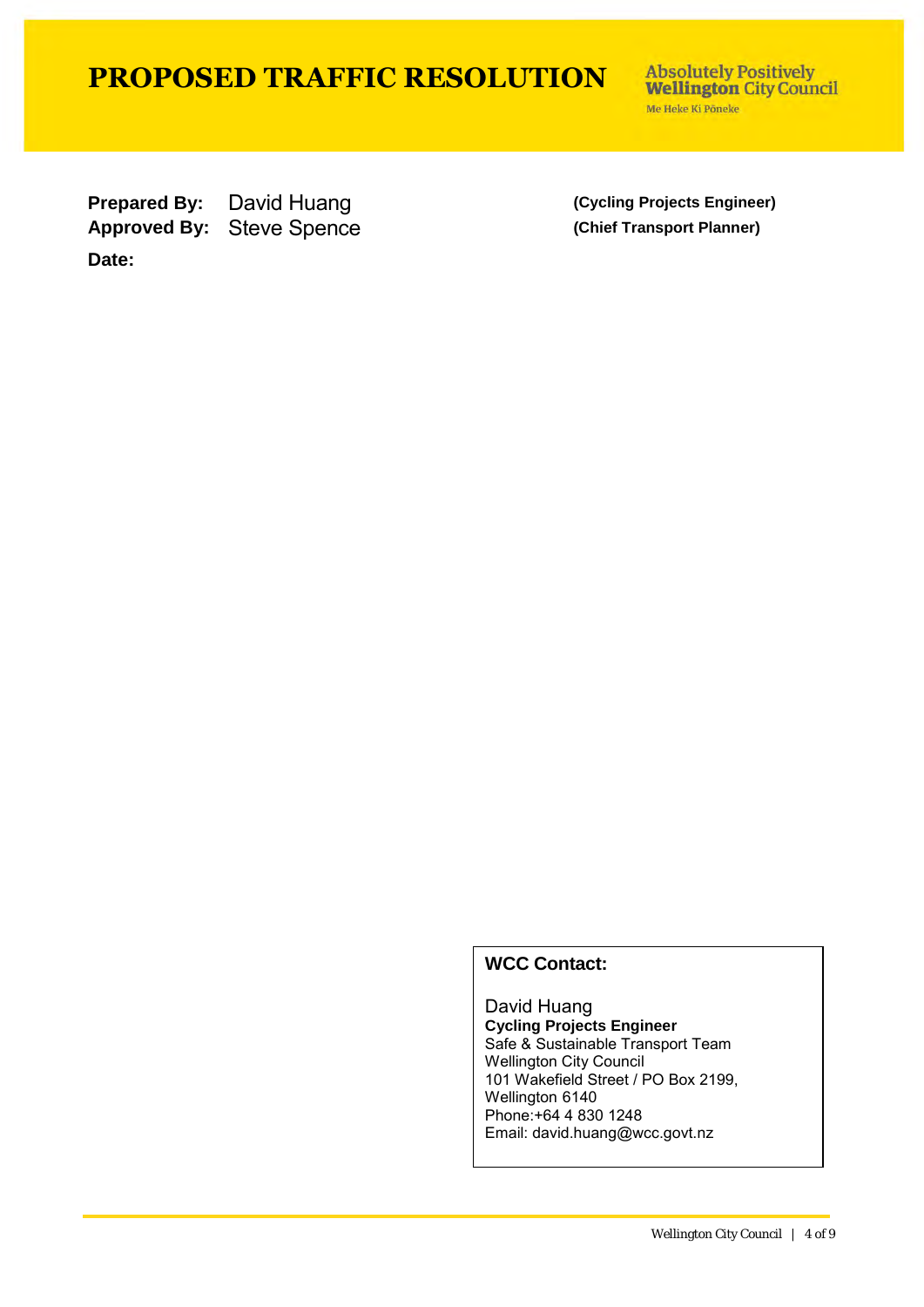**Absolutely Positively Wellington City Council** Me Heke Ki Põneke

**Prepared By:** David Huang **(Cycling Projects Engineer)** Approved By: Steve Spence **(Chief Transport Planner) Date:**

#### **WCC Contact:**

David Huang **Cycling Projects Engineer** Safe & Sustainable Transport Team Wellington City Council 101 Wakefield Street / PO Box 2199, Wellington 6140 Phone:+64 4 830 1248 Email: david.huang@wcc.govt.nz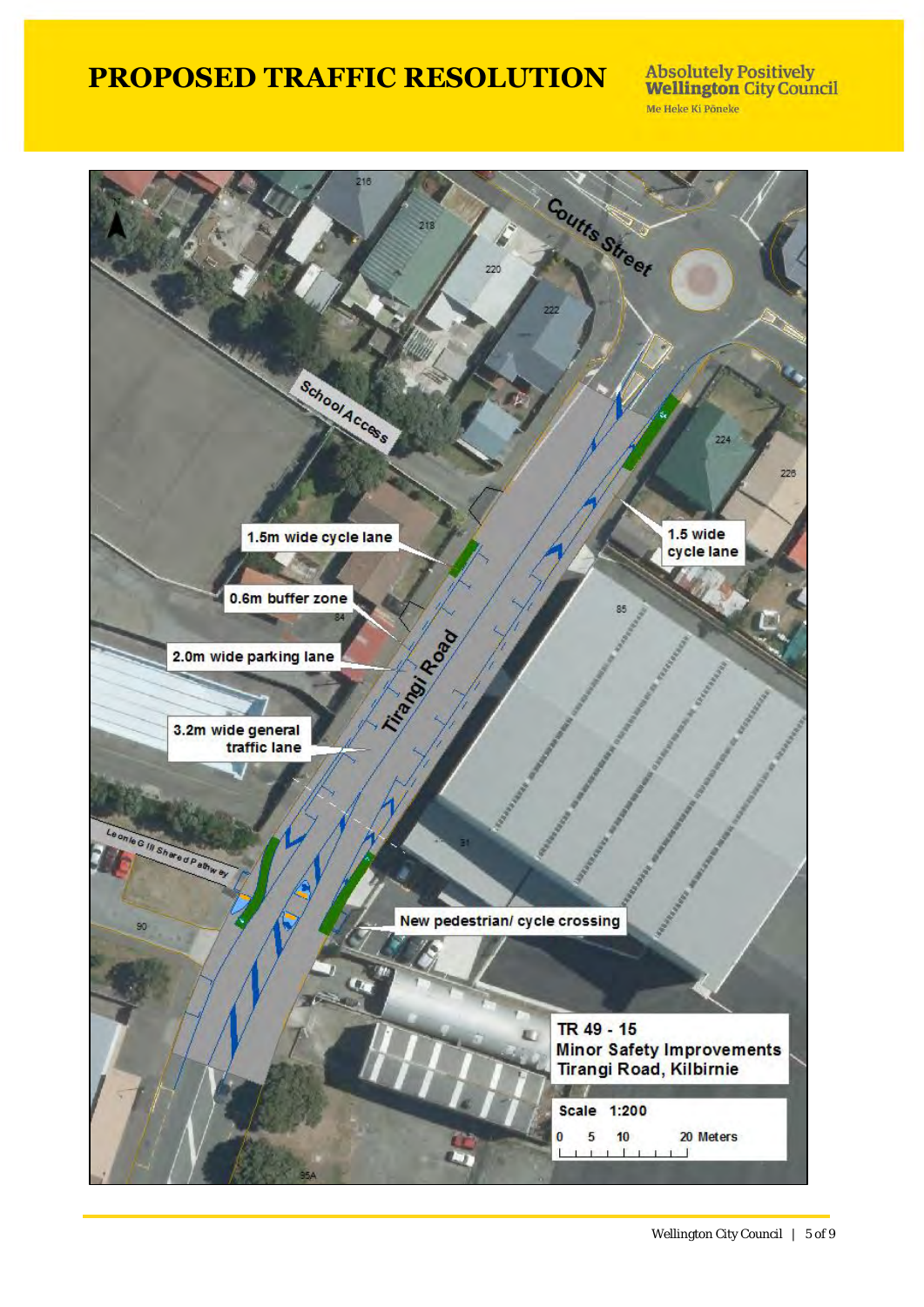**Absolutely Positively<br>Wellington City Council** Me Heke Ki Põneke



Wellington City Council | 5 of 9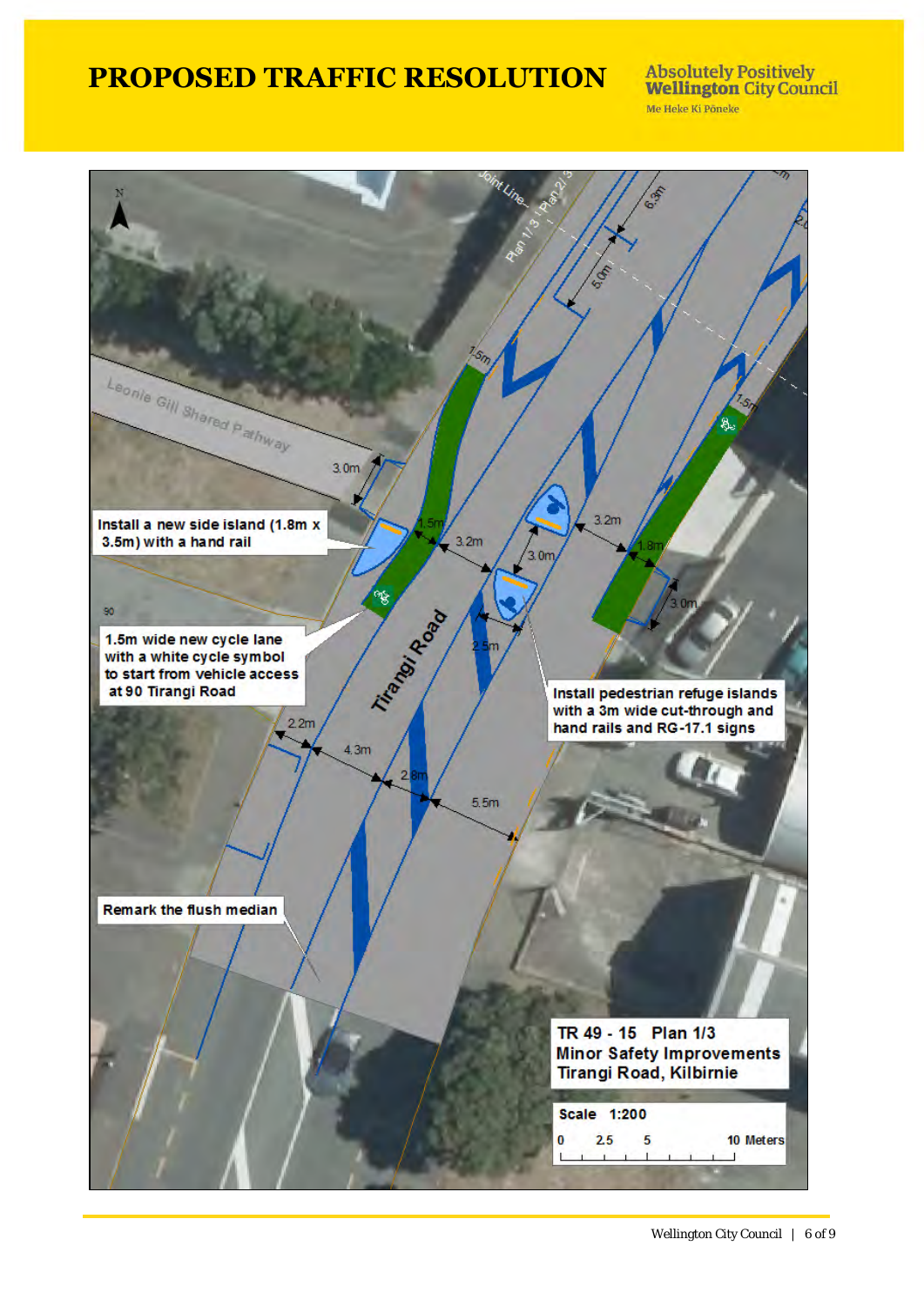**Absolutely Positively<br>Wellington City Council** Me Heke Ki Pôneke

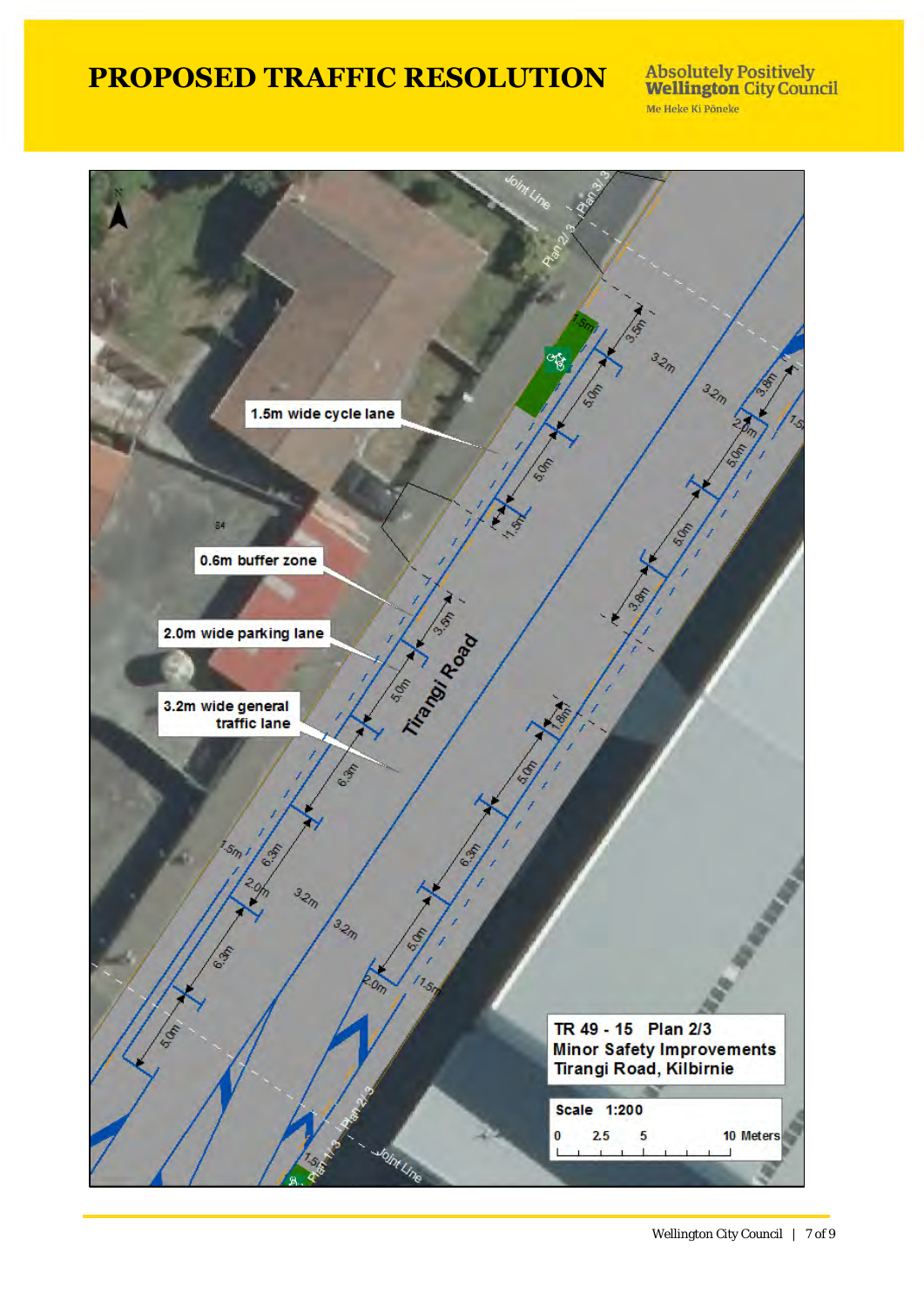**Absolutely Positively<br>Wellington City Council** Me Heke Ki Põneke

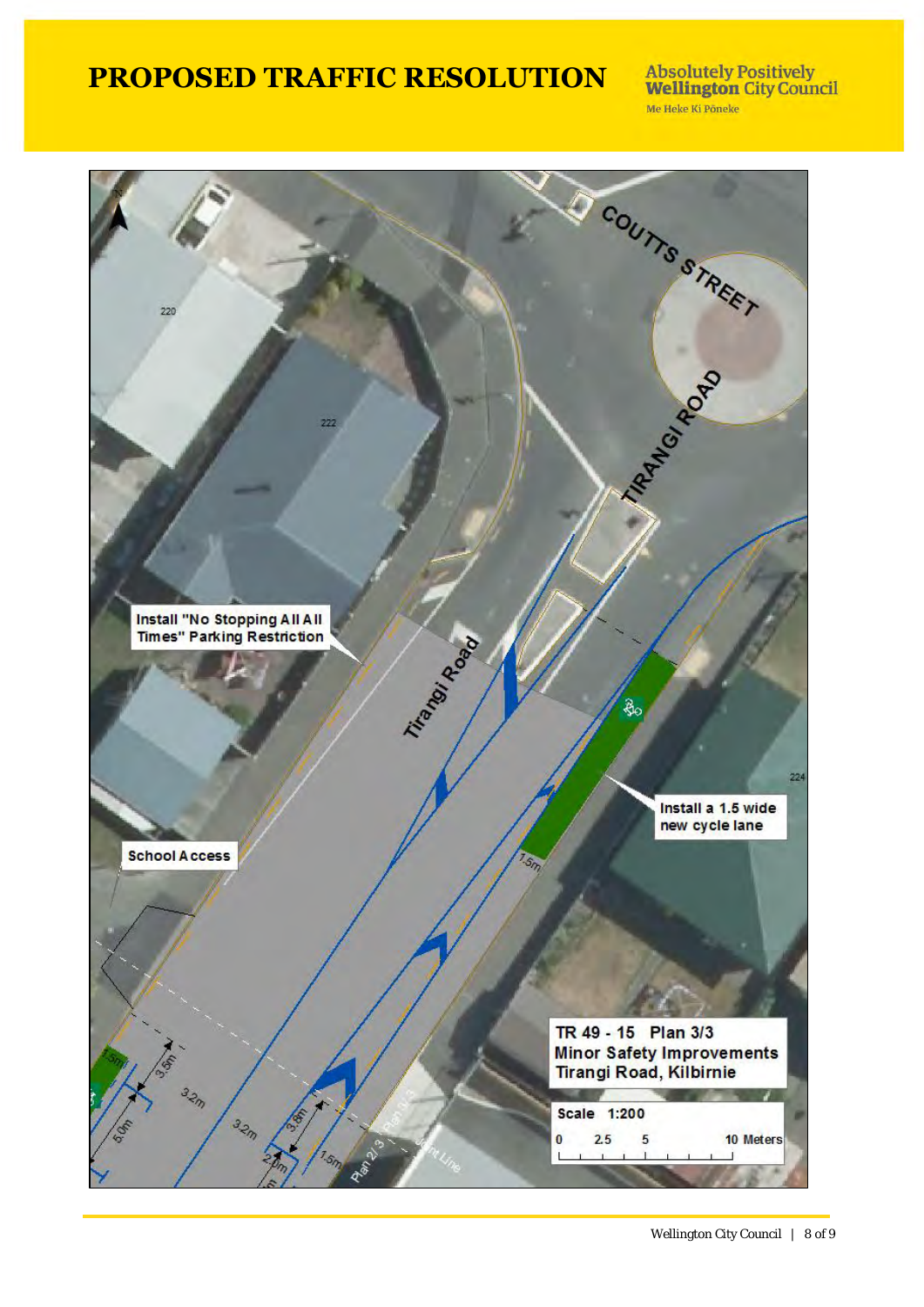**Absolutely Positively<br>Wellington City Council** Me Heke Ki Põneke